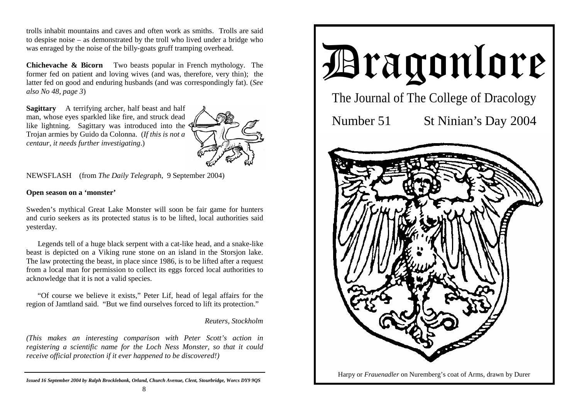trolls inhabit mountains and caves and often work as smiths. Trolls are said to despise noise – as demonstrated by the troll who lived under a bridge who was enraged by the noise of the billy-goats gruff tramping overhead.

**Chichevache & Bicorn** Two beasts popular in French mythology. The former fed on patient and loving wives (and was, therefore, very thin); the latter fed on good and enduring husbands (and was correspondingly fat). (*See also No 48, page 3*)

**Sagittary** A terrifying archer, half beast and half man, whose eyes sparkled like fire, and struck dead like lightning. Sagittary was introduced into the  $\zeta$ Trojan armies by Guido da Colonna. (*If this is not a centaur, it needs further investigating*.)



NEWSFLASH (from *The Daily Telegraph*, 9 September 2004)

### **Open season on a 'monster'**

Sweden's mythical Great Lake Monster will soon be fair game for hunters and curio seekers as its protected status is to be lifted, local authorities said yesterday.

 Legends tell of a huge black serpent with a cat-like head, and a snake-like beast is depicted on a Viking rune stone on an island in the Storsjon lake. The law protecting the beast, in place since 1986, is to be lifted after a request from a local man for permission to collect its eggs forced local authorities to acknowledge that it is not a valid species.

 "Of course we believe it exists," Peter Lif, head of legal affairs for the region of Jamtland said. "But we find ourselves forced to lift its protection."

### *Reuters, Stockholm*

*(This makes an interesting comparison with Peter Scott's action in registering a scientific name for the Loch Ness Monster, so that it could receive official protection if it ever happened to be discovered!)* 

*Issued 16 September 2004 by Ralph Brocklebank, Orland, Church Avenue, Clent, Stourbridge, Worcs DY9 9QS*

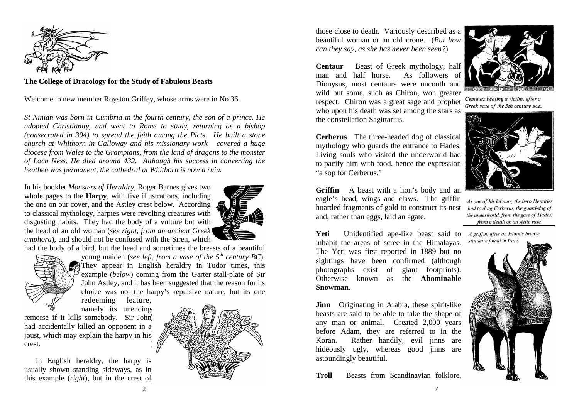

**The College of Dracology for the Study of Fabulous Beasts** 

Welcome to new member Royston Griffey, whose arms were in No 36.

*St Ninian was born in Cumbria in the fourth century, the son of a prince. He adopted Christianity, and went to Rome to study, returning as a bishop (consecrated in 394) to spread the faith among the Picts. He built a stone church at Whithorn in Galloway and his missionary work covered a huge diocese from Wales to the Grampians, from the land of dragons to the monster of Loch Ness. He died around 432. Although his success in converting the heathen was permanent, the cathedral at Whithorn is now a ruin.* 

In his booklet *Monsters of Heraldry*, Roger Barnes gives two whole pages to the **Harpy**, with five illustrations, including the one on our cover, and the Astley crest below. According to classical mythology, harpies were revolting creatures with disgusting habits. They had the body of a vulture but with the head of an old woman (*see right, from an ancient Greek amphora*), and should not be confused with the Siren, which

had the body of a bird, but the head and sometimes the breasts of a beautiful



young maiden (*see left, from a vase of the 5th century BC*). They appear in English heraldry in Tudor times, this example (*below*) coming from the Garter stall-plate of Sir John Astley, and it has been suggested that the reason for its choice was not the harpy's repulsive nature, but its one redeeming feature,

namely its unending remorse if it kills somebody. Sir John had accidentally killed an opponent in a

joust, which may explain the harpy in his crest.

 In English heraldry, the harpy is usually shown standing sideways, as in this example (*right*), but in the crest of



those close to death. Variously described as a beautiful woman or an old crone. (*But how can they say, as she has never been seen?*)

**Centaur** Beast of Greek mythology, half man and half horse. As followers of Dionysus, most centaurs were uncouth and wild but some, such as Chiron, won greater respect. Chiron was a great sage and prophet who upon his death was set among the stars as the constellation Sagittarius.

**Cerberus** The three-headed dog of classical mythology who guards the entrance to Hades. Living souls who visited the underworld had to pacify him with food, hence the expression "a sop for Cerberus."

**Griffin** A beast with a lion's body and an eagle's head, wings and claws. The griffin hoarded fragments of gold to construct its nest and, rather than eggs, laid an agate.

Yeti Unidentified ape-like beast said to A griffin, after an Islamic bronze inhabit the areas of scree in the Himalayas. The Yeti was first reported in 1889 but no sightings have been confirmed (although photographs exist of giant footprints). Otherwise known as the **Abominable Snowman**.

**Jinn** Originating in Arabia, these spirit-like beasts are said to be able to take the shape of any man or animal. Created 2,000 years before Adam, they are referred to in the Koran. Rather handily, evil jinns are hideously ugly, whereas good jinns are astoundingly beautiful.

**Troll** Beasts from Scandinavian folklore,



Centaurs beating a victim, after a Greek vase of the 5th century BCE.



As one of his labours, the hero Herakles had to drag Cerberus, the guard-dog of the underworld, from the gate of Hades; from a detail on an Attic vase.

statuette found in Italy.

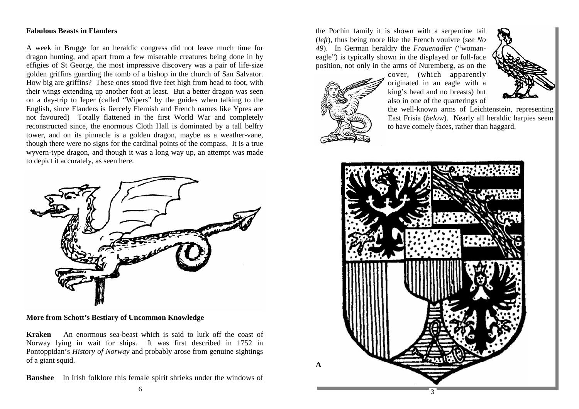# **Fabulous Beasts in Flanders**

A week in Brugge for an heraldic congress did not leave much time for dragon hunting, and apart from a few miserable creatures being done in by effigies of St George, the most impressive discovery was a pair of life-size golden griffins guarding the tomb of a bishop in the church of San Salvator. How big are griffins? These ones stood five feet high from head to foot, with their wings extending up another foot at least. But a better dragon was seen on a day-trip to Ieper (called "Wipers" by the guides when talking to the English, since Flanders is fiercely Flemish and French names like Ypres are not favoured) Totally flattened in the first World War and completely reconstructed since, the enormous Cloth Hall is dominated by a tall belfry tower, and on its pinnacle is a golden dragon, maybe as a weather-vane, though there were no signs for the cardinal points of the compass. It is a true wyvern-type dragon, and though it was a long way up, an attempt was made to depict it accurately, as seen here.



**More from Schott's Bestiary of Uncommon Knowledge**

**Kraken** An enormous sea-beast which is said to lurk off the coast of Norway lying in wait for ships. It was first described in 1752 in Pontoppidan's *History of Norway* and probably arose from genuine sightings of a giant squid.

**Banshee** In Irish folklore this female spirit shrieks under the windows of

the Pochin family it is shown with a serpentine tail (*left*), thus being more like the French vouivre (*see No 49*). In German heraldry the *Frauenadler* ("womaneagle") is typically shown in the displayed or full-face position, not only in the arms of Nuremberg, as on the





cover, (which apparently originated in an eagle with a king's head and no breasts) but also in one of the quarterings of

the well-known arms of Leichtenstein, representing East Frisia (*below*). Nearly all heraldic harpies seem to have comely faces, rather than haggard.